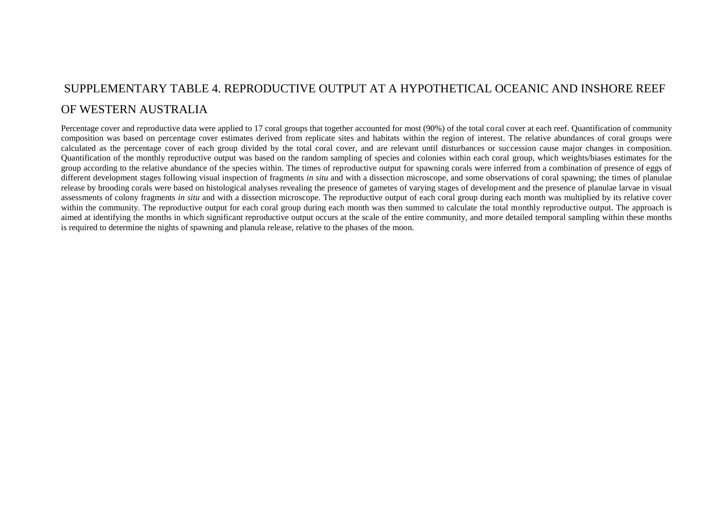## SUPPLEMENTARY TABLE 4. REPRODUCTIVE OUTPUT AT A HYPOTHETICAL OCEANIC AND INSHORE REEF OF WESTERN AUSTRALIA

Percentage cover and reproductive data were applied to 17 coral groups that together accounted for most (90%) of the total coral cover at each reef. Quantification of community composition was based on percentage cover estimates derived from replicate sites and habitats within the region of interest. The relative abundances of coral groups were calculated as the percentage cover of each group divided by the total coral cover, and are relevant until disturbances or succession cause major changes in composition. Quantification of the monthly reproductive output was based on the random sampling of species and colonies within each coral group, which weights/biases estimates for the group according to the relative abundance of the species within. The times of reproductive output for spawning corals were inferred from a combination of presence of eggs of different development stages following visual inspection of fragments *in situ* and with a dissection microscope, and some observations of coral spawning; the times of planulae release by brooding corals were based on histological analyses revealing the presence of gametes of varying stages of development and the presence of planulae larvae in visual assessments of colony fragments *in situ* and with a dissection microscope. The reproductive output of each coral group during each month was multiplied by its relative cover within the community. The reproductive output for each coral group during each month was then summed to calculate the total monthly reproductive output. The approach is aimed at identifying the months in which significant reproductive output occurs at the scale of the entire community, and more detailed temporal sampling within these months is required to determine the nights of spawning and planula release, relative to the phases of the moon.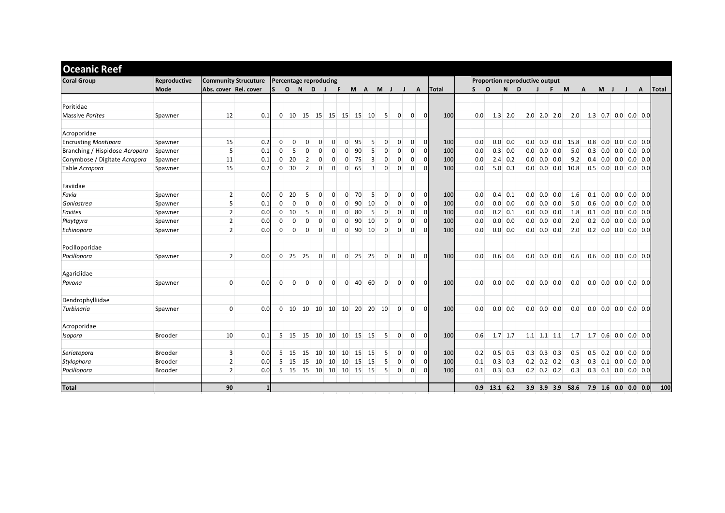| <b>Coral Group</b>             | Reproductive   | <b>Community Strucuture</b> |     |                | Percentage reproducing |                        |                |                |                |                   |                |              |                |                |              |              | Proportion reproductive output |                |             |  |                |                   |      |                       |       |                       |  |                     |              |
|--------------------------------|----------------|-----------------------------|-----|----------------|------------------------|------------------------|----------------|----------------|----------------|-------------------|----------------|--------------|----------------|----------------|--------------|--------------|--------------------------------|----------------|-------------|--|----------------|-------------------|------|-----------------------|-------|-----------------------|--|---------------------|--------------|
|                                | Mode           | Abs. cover Rel. cover       |     | $\mathsf{S}$   | $\circ$                | N <sub>D</sub>         | $\mathbf{J}$   | F              |                | M A               |                | $M$ J        | J              |                | $\mathsf{A}$ | <b>Total</b> | <sub>S</sub>                   | $\mathbf{o}$   | N<br>D      |  | $\blacksquare$ | F.                | M    | A                     | $M$ J |                       |  | A                   | <b>Total</b> |
| Poritidae                      |                |                             |     |                |                        |                        |                |                |                |                   |                |              |                |                |              |              |                                |                |             |  |                |                   |      |                       |       |                       |  |                     |              |
| Massive Porites                | Spawner        | 12                          | 0.1 | $\Omega$       |                        | 10 15 15 15 15 15      |                |                |                |                   | 10             | $\mathbf{5}$ | $\overline{0}$ | $\Omega$       | $\cap$       | 100          | 0.0                            |                | $1.3$ 2.0   |  |                | $2.0$ 2.0 2.0     | 2.0  | $1.3$ 0.7 0.0 0.0 0.0 |       |                       |  |                     |              |
|                                |                |                             |     |                |                        |                        |                |                |                |                   |                |              |                |                |              |              |                                |                |             |  |                |                   |      |                       |       |                       |  |                     |              |
| Acroporidae                    |                |                             |     |                |                        |                        |                |                |                |                   |                |              |                |                |              |              |                                |                |             |  |                |                   |      |                       |       |                       |  |                     |              |
| <b>Encrusting Montipora</b>    | Spawner        | 15                          | 0.2 | $\Omega$       | $\Omega$               | $\Omega$               | $\Omega$       | $\Omega$       | $\Omega$       | 95                | 5 <sup>1</sup> | $\mathbf{0}$ | $\overline{0}$ | $\Omega$       | $\Omega$     | 100          | 0.0                            |                | $0.0$ 0.0   |  |                | $0.0$ 0.0 0.0     | 15.8 |                       |       | $0.8$ 0.0 0.0 0.0 0.0 |  |                     |              |
| Branching / Hispidose Acropora | Spawner        | 5                           | 0.1 | $\overline{0}$ | 5                      | $\Omega$               | $\Omega$       | $\overline{0}$ | $\Omega$       | 90                | 5 <sup>5</sup> | $\mathbf 0$  | $\mathbf 0$    | $\overline{0}$ | $\Omega$     | 100          | 0.0                            |                | $0.3$ 0.0   |  | $0.0$ 0.0 0.0  |                   | 5.0  |                       |       | $0.3$ 0.0 0.0         |  | $0.0$ 0.0           |              |
| Corymbose / Digitate Acropora  | Spawner        | 11                          | 0.1 | $\overline{0}$ | 20                     | 2 <sup>1</sup>         | $\mathbf 0$    | $\overline{0}$ | $\Omega$       | 75                | $\overline{3}$ | $\mathbf 0$  | $\mathbf{0}$   | $\overline{0}$ | $\Omega$     | 100          | 0.0                            |                | $2.4 \ 0.2$ |  | $0.0$ 0.0 0.0  |                   | 9.2  |                       |       | $0.4$ 0.0 0.0 0.0 0.0 |  |                     |              |
| Table Acropora                 | Spawner        | 15                          | 0.2 | $\overline{0}$ | 30                     | $\overline{2}$         | $\mathbf{0}$   | $\overline{0}$ | $\overline{0}$ | 65                | $\overline{3}$ | $\mathbf{0}$ | $\mathbf{0}$   | $\overline{0}$ | $\Omega$     | 100          | 0.0                            |                | $5.0 \ 0.3$ |  |                | $0.0$ 0.0 0.0     | 10.8 |                       |       | $0.5$ 0.0 0.0 0.0 0.0 |  |                     |              |
| Faviidae                       |                |                             |     |                |                        |                        |                |                |                |                   |                |              |                |                |              |              |                                |                |             |  |                |                   |      |                       |       |                       |  |                     |              |
| Favia                          | Spawner        | 2 <sup>1</sup>              | 0.0 | $\overline{0}$ | 20                     | 5 <sup>1</sup>         | $\mathbf{0}$   | $\overline{0}$ | $\Omega$       | 70                | 5              | $\mathbf 0$  | $\overline{0}$ | $\overline{0}$ | $\Omega$     | 100          | 0.0                            |                | $0.4 \ 0.1$ |  | $0.0$ 0.0 0.0  |                   | 1.6  |                       |       | $0.1$ 0.0 0.0 0.0 0.0 |  |                     |              |
| Goniastrea                     | Spawner        | 5 <sup>1</sup>              | 0.1 | $\overline{0}$ | $\Omega$               | $\Omega$               | $\mathbf 0$    | $\Omega$       | $\Omega$       | 90                | 10             | $\mathbf 0$  | $\mathbf{0}$   | $\mathbf{0}$   | $\Omega$     | 100          | 0.0                            |                | $0.0$ 0.0   |  | $0.0$ 0.0 0.0  |                   | 5.0  |                       |       | $0.6$ 0.0 0.0         |  | $0.0$ 0.0           |              |
| Favites                        | Spawner        | 2 <sup>1</sup>              | 0.0 | $\overline{0}$ | 10                     | 5                      | $\mathbf 0$    | $\overline{0}$ | $\Omega$       | 80                | 5              | $\mathbf{0}$ | $\mathbf{0}$   | $\overline{0}$ | $\Omega$     | 100          | 0.0                            |                | $0.2$ 0.1   |  | $0.0$ 0.0 0.0  |                   | 1.8  |                       |       | $0.1$ 0.0 0.0 0.0 0.0 |  |                     |              |
| Playtayra                      | Spawner        | 2 <sup>1</sup>              | 0.0 | $\overline{0}$ | $\mathbf{0}$           | $\mathbf{0}$           | $\mathbf 0$    | $\overline{0}$ | $\Omega$       | 90                | 10             | $\mathbf{0}$ | $\mathbf{0}$   | $\mathbf{0}$   | $\Omega$     | 100          | 0.0                            |                | 0.0 0.0     |  | $0.0$ 0.0 0.0  |                   | 2.0  |                       |       | $0.2$ 0.0 0.0 0.0 0.0 |  |                     |              |
| Echinopora                     | Spawner        | 2 <sup>1</sup>              | 0.0 | $\overline{0}$ | $\mathbf{0}$           | $\mathbf{0}$           | $\mathbf{0}$   | $\overline{0}$ | $\overline{0}$ | -90               | 10             | $\mathbf{0}$ | $\mathbf{0}$   | $\overline{0}$ |              | 100          | 0.0                            |                | $0.0$ 0.0   |  | $0.0$ 0.0 0.0  |                   | 2.0  |                       |       | $0.2$ 0.0 0.0 0.0 0.0 |  |                     |              |
| Pocilloporidae                 |                |                             |     |                |                        |                        |                |                |                |                   |                |              |                |                |              |              |                                |                |             |  |                |                   |      |                       |       |                       |  |                     |              |
| Pocillopora                    | Spawner        | 2 <sup>1</sup>              | 0.0 |                |                        | $0 \ 25 \ 25$          | $\overline{0}$ | $\overline{0}$ | $\overline{0}$ | 25                | 25             | $\mathbf{0}$ | $\overline{0}$ | $\overline{0}$ | $\Omega$     | 100          | 0.0                            |                | $0.6$ 0.6   |  | $0.0$ 0.0 0.0  |                   | 0.6  |                       |       | $0.6$ 0.0 0.0 0.0 0.0 |  |                     |              |
| Agariciidae                    |                |                             |     |                |                        |                        |                |                |                |                   |                |              |                |                |              |              |                                |                |             |  |                |                   |      |                       |       |                       |  |                     |              |
| Pavona                         | Spawner        | $\Omega$                    | 0.0 | $\Omega$       | $\Omega$               | $\overline{0}$         | $\mathbf{0}$   | $\overline{0}$ | $\Omega$       | 40                | 60             | $\Omega$     | $\overline{0}$ | $\Omega$       | $\Omega$     | 100          | 0.0                            |                | $0.0$ 0.0   |  | $0.0$ 0.0 0.0  |                   | 0.0  |                       |       | $0.0$ 0.0 0.0 0.0 0.0 |  |                     |              |
| Dendrophylliidae               |                |                             |     |                |                        |                        |                |                |                |                   |                |              |                |                |              |              |                                |                |             |  |                |                   |      |                       |       |                       |  |                     |              |
| Turbinaria                     | Spawner        | $\Omega$                    | 0.0 |                |                        | $0$ 10 10 10 10        |                |                |                | $10\vert 20\vert$ | 20             | 10           | $\overline{0}$ | $\Omega$       |              | 100          | 0.0                            |                | $0.0\, 0.0$ |  | $0.0$ 0.0 0.0  |                   | 0.0  |                       |       | $0.0$ 0.0 0.0 0.0 0.0 |  |                     |              |
| Acroporidae                    |                |                             |     |                |                        |                        |                |                |                |                   |                |              |                |                |              |              |                                |                |             |  |                |                   |      |                       |       |                       |  |                     |              |
| Isopora                        | <b>Brooder</b> | 10                          | 0.1 |                |                        | $5 \ 15 \ 15$          | 10             | 10             | 10             | 15                | 15             | 5            | $\overline{0}$ | $\Omega$       | $\Omega$     | 100          | 0.6                            | $1.7$ 1.7      |             |  |                | $1.1$ $1.1$ $1.1$ | 1.7  | $1.7$ 0.6 0.0 0.0 0.0 |       |                       |  |                     |              |
| Seriatopora                    | <b>Brooder</b> | 3                           | 0.0 | 5 <sup>1</sup> | 15                     | 15                     | 10             | 10             | 10             | 15                | 15             | 5            | $\mathbf{0}$   | $\overline{0}$ | $\Omega$     | 100          | 0.2                            |                | $0.5$ 0.5   |  | $0.3$ 0.3 0.3  |                   | 0.5  |                       |       | $0.5$ 0.2 0.0 0.0 0.0 |  |                     |              |
| Stylophora                     | <b>Brooder</b> | 2                           | 0.0 | 5 <sup>1</sup> | 15                     | 15                     | 10             | 10             | 10             | 15                | 15             | -5           | $\Omega$       | $\Omega$       | $\Omega$     | 100          | 0.1                            |                | $0.3$ 0.3   |  | $0.2$ 0.2 0.2  |                   | 0.3  |                       |       | $0.3$ 0.1 0.0 0.0 0.0 |  |                     |              |
| Pocillopora                    | <b>Brooder</b> | 2 <sup>1</sup>              | 0.0 |                |                        | 5 15 15 10 10 10 15 15 |                |                |                |                   |                | 5            | $\overline{0}$ | $\Omega$       |              | 100          | 0.1                            |                | $0.3$ 0.3   |  |                | $0.2$ 0.2 0.2     | 0.3  |                       |       | $0.3$ 0.1 0.0 0.0 0.0 |  |                     |              |
| Total                          |                | 90                          | 1   |                |                        |                        |                |                |                |                   |                |              |                |                |              |              |                                | $0.9$ 13.1 6.2 |             |  | 3.9 3.9 3.9    |                   | 58.6 |                       |       |                       |  | 7.9 1.6 0.0 0.0 0.0 | 100          |